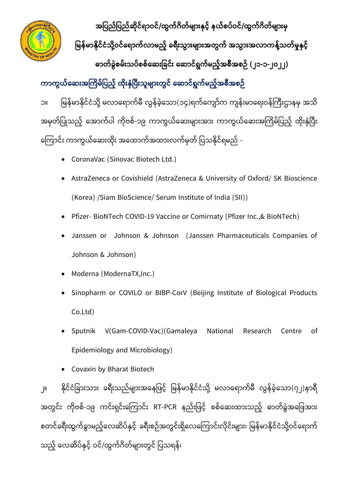

**အပြည်ပြည်ဆ ိုင်ရာဝင်/ထွက်ဂ တ်မ ာျားနှင ် နယ်စြ်ဝင်/ထွက်ဂ တ်မ ာျားမှ** 

မြန်မာနိုင်ငံသို့ဝင်ရောက်လာမည့် ခရီးသွားများအတွက် အသွားအလာကန့်သတ်မှုနှင့်

**ဓာတ်ခွွဲစမ်ျားသြ်စစ်ရဆျားပခင်ျား ရဆာင်ရွက်မည ်အစ အစဉ် (၂၁-၁-၂၀၂၂)**

ကာကွယ်ဆေးအကြိမ်ပြည့် ထိုးနှံပြီးသူများတွင် ဆောင်ရွက်မည့်အစီအစဉ်

၁။ မြန်မာနိုင်ငံသို့ မလာရောက်မီ လွန်ခဲ့သော(၁၄)ရက်ကျော်က ကျန်းမာရေးဝန်ကြီးဌာနမှ အသိ အမှတ်ပြုသည့် အောက်ပါ ကိုဗစ်-၁၉ ကာကွယ်ဆေးများအား ကာကွယ်ဆေးအကြိမ်ပြည့် ထိုးနှံပြီး ကြောင်း ကာကွယ်ဆေးထိုး အထောက်အထားလက်မှတ် ပြသနိုင်ရမည် -

- CoronaVac (Sinovac Biotech Ltd.)
- AstraZeneca or Covishield (AstraZeneca & University of Oxford/ SK Bioscience (Korea) /Siam BioScience/ Serum Institute of India (SII))
- Pfizer- BioNTech COVID-19 Vaccine or Comirnaty (Pfizer Inc.,& BioNTech)
- Janssen or Johnson & Johnson (Janssen Pharmaceuticals Companies of Johnson & Johnson)
- Moderna (ModernaTX,Inc.)
- Sinopharm or COVILO or BIBP-CorV (Beijing Institute of Biological Products Co.Ltd)
- Sputnik V(Gam-COVID-Vac)(Gamaleya National Research Centre of Epidemiology and Microbiology)
- Covaxin by Bharat Biotech

၂။ နိုင်ငံခြားသား ခရီးသည်များအနေဖြင့် မြန်မာနိုင်ငံသို့ မလာရောက်မီ လွန်ခဲ့သော(၇၂)နာရီ အတွင်း ကိုဗစ်-၁၉ ကင်းရှင်းကြောင်း RT-PCR နည်းဖြင့် စစ်ဆေးထားသည့် ဓာတ်ခွဲအဖြေအား စတင်ခရီးထွက်ခွာမည့်လေဆိပ်နှင့် ခရီးစဉ်အတွင်းရှိလေကြောင်းလိုင်းများ၊ မြန်မာနိုင်ငံသို့ဝင်ရောက် သည့် လေဆိပ်နှင့် ဝင်/ထွက်ဂိတ်များတွင် ပြသရန်၊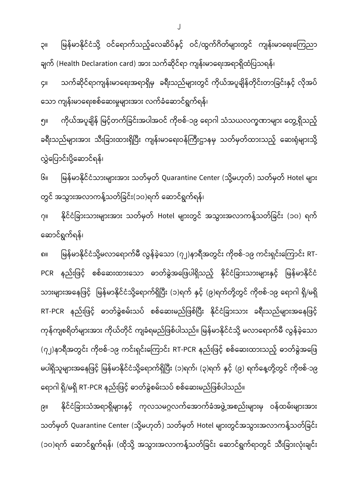၉။ နိုင်ငံခြားသံအရာရှိများနှင့် ကုလသမဂ္ဂလက်အောက်ခံအဖွဲ့အစည်းများမှ ဝန်ထမ်းများအား သတ်မှတ် Quarantine Center (သို့မဟုတ်) သတ်မှတ် Hotel များတွင်အသွားအလာကန့်သတ်ခြင်း (၁၀)ရက် ဆောင်ရွက်ရန်၊ (ထိုသို့ အသွားအလာကန့်သတ်ခြင်း ဆောင်ရွက်ရာတွင် သီးခြားလုံးချင်း

ဆောင်ရွက်ရန်၊ ၈။ မြန်မာနိုင်ငံသို့မလာရောက်မီ လွန်ခဲ့သော (၇၂)နာရီအတွင်း ကိုဗစ်-၁၉ ကင်းရှင်းကြောင်း RT-PCR နည်းဖြင့် စစ်ဆေးထားသော ဓာတ်ခွဲအဖြေပါရှိသည့် နိုင်ငံခြားသားများနှင့် မြန်မာနိုင်ငံ သားများအနေဖြင့် မြန်မာနိုင်ငံသို့ရောက်ရှိပြီး (၁)ရက် နှင့် (၉)ရက်တို့တွင် ကိုဗစ်-၁၉ ရောဂါ ရှိ/မရှိ RT-PCR နည်းဖြင့် ဓာတ်ခွဲစမ်းသပ် စစ်ဆေးမည်ဖြစ်ပြီး နိုင်ငံခြားသား ခရီးသည်များအနေဖြင့် ကုန်ကျစရိတ်များအား ကိုယ်တိုင် ကျခံရမည်ဖြစ်ပါသည်။ မြန်မာနိုင်ငံသို့ မလာရောက်မီ လွန်ခဲ့သော (၇၂)နာရီအတွင်း ကိုဗစ်-၁၉ ကင်းရှင်းကြောင်း RT-PCR နည်းဖြင့် စစ်ဆေးထားသည့် ဓာတ်ခွဲအဖြေ မပါရှိသူများအနေဖြင့် မြန်မာနိုင်ငံသို့ရောက်ရှိပြီး (၁)ရက်၊ (၃)ရက် နှင့် (၉) ရက်နေ့တို့တွင် ကိုဗစ်-၁၉ ရောဂါ ရှိ/မရှိ RT-PCR နည်းဖြင့် ဓာတ်ခွဲစမ်းသပ် စစ်ဆေးမည်ဖြစ်ပါသည်။

တွင် အသွားအလာကန့်သတ်ခြင်း(၁၀)ရက် ဆောင်ရွက်ရန်၊ ၇။ နိုင်ငံခြားသားများအား သတ်မှတ် Hotel များတွင် အသွားအလာကန့်သတ်ခြင်း (၁၀) ရက်

လွှဲပြောင်းပို့ဆောင်ရန်၊ ၆။ မြန်မာနိုင်ငံသားများအား သတ်မှတ် Quarantine Center (သို့မဟုတ်) သတ်မှတ် Hotel များ

သော ကျန်းမာရေးစစ်ဆေးမှုများအား လက်ခံဆောင်ရွက်ရန်၊ ၅။ ကိုယ်အပူချိန် မြင့်တက်ခြင်းအပါအဝင် ကိုဗစ်-၁၉ ရောဂါ သံသယလက္ခဏာများ တွေ့ရှိသည့် ခရီးသည်များအား သီးခြားထားရှိပြီး ကျန်းမာရေးဝန်ကြီးဌာနမှ သတ်မှတ်ထားသည့် ဆေးရုံများသို့

ချက် (Health Declaration card) အား သက်ဆိုင်ရာ ကျန်းမာရေးအရာရှိထံပြသရန်၊ ၄။ သက်ဆိုင်ရာကျန်းမာရေးအရာရှိမှ ခရီးသည်များတွင် ကိုယ်အပူချိန်တိုင်းတာခြင်းနှင့် လိုအပ်

၃။ မြန်မာနိုင်ငံသို့ ဝင်ရောက်သည့်လေဆိပ်နှင့် ဝင်/ထွက်ဂိတ်များတွင် ကျန်းမာရေးကြေညာ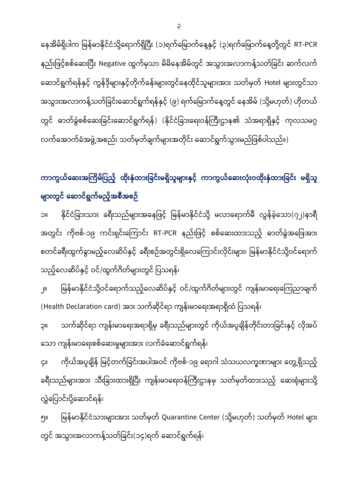နေအိမ်ရှိပါက မြန်မာနိုင်ငံသို့ရောက်ရှိပြီး (၁)ရက်မြောက်နေ့နှင့် (၃)ရက်မြောက်နေ့တို့တွင် RT-PCR နည်းဖြင့်စစ်ဆေးပြီး Negative ထွက်မှသာ မိမိနေအိမ်တွင် အသွားအလာကန့်သတ်ခြင်း ဆက်လက် ဆောင်ရွက်ရန်နှင့် ကွန်ဒိုများနှင့်တိုက်ခန်းများတွင်နေထိုင်သူများအား သတ်မှတ် Hotel များတွင်သာ အသွားအလာကန့်သတ်ခြင်းဆောင်ရွက်ရန်နှင့် (၉) ရက်မြောက်နေ့တွင် နေအိမ် (သို့မဟုတ်) ဟိုတယ် တွင် ဓာတ်ခွဲစစ်ဆေးခြင်းဆောင်ရွက်ရန်) (နိုင်ငံခြားရေးဝန်ကြီးဌာန၏ သံအရာရှိနှင့် ကုလသမဂ္ဂ လက်အောက်ခံအဖွဲ့အစည်း သတ်မှတ်ချက်များအတိုင်း ဆောင်ရွက်သွားမည်ဖြစ်ပါသည်။)

ကာကွယ်ဆေးအကြိမ်ပြည့် ထိုးနှံထားခြင်းမရှိသူများနှင့် ကာကွယ်ဆေးလုံးဝထိုးနှံထားခြင်း မရှိသူ **မ ာျားတွင် ရဆာင်ရွက်မည ်အစ အစဉ်**

၁။ နိုင်ငံခြားသား ခရီးသည်များအနေဖြင့် မြန်မာနိုင်ငံသို့ မလာရောက်မီ လွန်ခဲ့သော(၇၂)နာရီ အတွင်း ကိုဗစ်-၁၉ ကင်းရှင်းကြောင်း RT-PCR နည်းဖြင့် စစ်ဆေးထားသည့် ဓာတ်ခွဲအဖြေအား စတင်ခရီးထွက်ခွာမည့်လေဆိပ်နှင့် ခရီးစဉ်အတွင်းရှိလေကြောင်းလိုင်းများ၊ မြန်မာနိုင်ငံသို့ဝင်ရောက် သည့်လေဆိပ်နှင့် ဝင်/ထွက်ဂိတ်များတွင် ပြသရန်၊

၂။ မြန်မာနိုင်ငံသို့ဝင်ရောက်သည့်လေဆိပ်နှင့် ဝင်/ထွက်ဂိတ်များတွင် ကျန်းမာရေးကြေညာချက် (Health Declaration card) အား သက်ဆိုင်ရာ ကျန်းမာရေးအရာရှိထံ ပြသရန်၊

၃။ သက်ဆိုင်ရာ ကျန်းမာရေးအရာရှိမှ ခရီးသည်များတွင် ကိုယ်အပူချိန်တိုင်းတာခြင်းနှင့် လိုအပ် သော ကျန်းမာရေးစစ်ဆေးမှုများအား လက်ခံဆောင်ရွက်ရန်၊

၄။ ကိုယ်အပူချိန် မြင့်တက်ခြင်းအပါအဝင် ကိုဗစ်-၁၉ ရောဂါ သံသယလက္ခဏာများ တွေ့ရှိသည့် ခရီးသည်များအား သီးခြားထားရှိပြီး ကျန်းမာရေးဝန်ကြီးဌာနမှ သတ်မှတ်ထားသည့် ဆေးရုံများသို့ လွှဲပြောင်းပို့ဆောင်ရန်၊

၅။ မြန်မာနိုင်ငံသားများအား သတ်မှတ် Quarantine Center (သို့မဟုတ်) သတ်မှတ် Hotel များ တွင် အသွားအလာကန့်သတ်ခြင်း(၁၄)ရက် ဆောင်ရွက်ရန်၊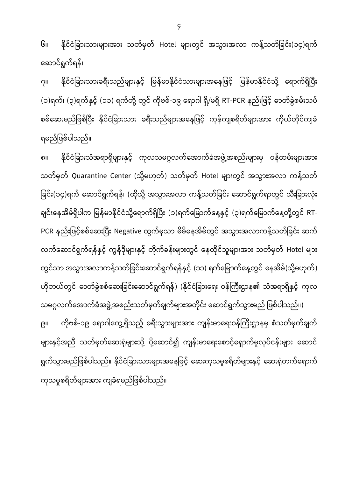၆။ နိုင်ငံခြားသားများအား သတ်မှတ် Hotel များတွင် အသွားအလာ ကန့်သတ်ခြင်း(၁၄)ရက် ရ ာင် ွက် န်၊

၇။ နိုင်ငံခြားသားခရီးသည်များနှင့် မြန်မာနိုင်ငံသားများအနေဖြင့် မြန်မာနိုင်ငံသို့ ရောက်ရှိပြီး (၁)ရက်၊ (၃)ရက်နှင့် (၁၁) ရက်တို့ တွင် ကိုဗစ်-၁၉ ရောဂါ ရှိ/မရှိ RT-PCR နည်းဖြင့် ဓာတ်ခွဲစမ်းသပ် စစ်ဆေးမည်ဖြစ်ပြီး နိုင်ငံခြားသား ခရီးသည်များအနေဖြင့် ကုန်ကျစရိတ်များအား ကိုယ်တိုင်ကျခံ ြည်မြစ်ပါသည်။

၈။ နိုင်ငံခြားသံအရာရှိများနှင့် ကုလသမဂ္ဂလက်အောက်ခံအဖွဲ့အစည်းများမှ ဝန်ထမ်းများအား သတ်မှတ် Quarantine Center (သို့မဟုတ်) သတ်မှတ် Hotel များတွင် အသွားအလာ ကန့်သတ် ခြင်း(၁၄)ရက် ဆောင်ရွက်ရန်၊ (ထိုသို့ အသွားအလာ ကန့်သတ်ခြင်း ဆောင်ရွက်ရာတွင် သီးခြားလုံး ချင်းနေအိမ်ရှိပါက မြန်မာနိုင်ငံသို့ရောက်ရှိပြီး (၁)ရက်မြောက်နေ့နှင့် (၃)ရက်မြောက်နေ့တို့တွင် RT-PCR နည်းဖြင့်စစ်ဆေးပြီး Negative ထွက်မှသာ မိမိနေအိမ်တွင် အသွားအလာကန့်သတ်ခြင်း ဆက် လက်ဆောင်ရွက်ရန်နှင့် ကွန်ဒိုများနှင့် တိုက်ခန်းများတွင် နေထိုင်သူများအား သတ်မှတ် Hotel များ တွင်သာ အသွားအလာကန့်သတ်ခြင်းဆောင်ရွက်ရန်နှင့် (၁၁) ရက်မြောက်နေ့တွင် နေအိမ်(သို့မဟုတ်) ဟိုတယ်တွင် ဓာတ်ခွဲစစ်ဆေးခြင်းဆောင်ရွက်ရန်) (နိုင်ငံခြားရေး ဝန်ကြီးဌာန၏ သံအရာရှိနှင့် ကုလ

သမဂ္ဂလက်အောက်ခံအဖွဲ့အစည်းသတ်မှတ်ချက်များအတိုင်း ဆောင်ရွက်သွားမည် ဖြစ်ပါသည်။) ၉။ ကိုဗစ်-၁၉ ရောဂါတွေ့ရှိသည့် ခရီးသွားများအား ကျန်းမာရေးဝန်ကြီးဌာနမှ စံသတ်မှတ်ချက် များနှင့်အညီ သတ်မှတ်ဆေးရုံများသို့ ပို့ဆောင်၍ ကျန်းမာရေးစောင့်ရှောက်မှုလုပ်ငန်းများ ဆောင် ရွက်သွားမည်ဖြစ်ပါသည်။ နိုင်ငံခြားသားများအနေဖြင့် ဆေးကုသမှုစရိတ်များနှင့် ဆေးရုံတက်ရောက် ကုသမှုစရိတ်များအား ကျခံရမည်ဖြစ်ပါသည်။

4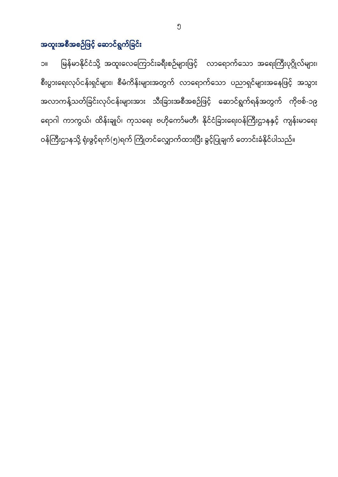အထူးအစီအစဉ်ဖြင့် ဆောင်ရွက်ခြင်း

၁။ မြန်မာနိုင်ငံသို့ အထူးလေကြောင်းခရီးစဉ်များဖြင့် လာရောက်သော အရေးကြီးပုဂ္ဂိုလ်များ၊ စီးပွားရေးလုပ်ငန်းရှင်များ၊ စီမံကိန်းများအတွက် လာရောက်သော ပညာရှင်များအနေဖြင့် အသွား အလာကန့်သတ်ခြင်းလုပ်ငန်းများအား သီးခြားအစီအစဉ်ဖြင့် ဆောင်ရွက်ရန်အတွက် ကိုဗစ်-၁၉ ရောဂါ ကာကွယ်၊ ထိန်းချုပ်၊ ကုသရေး ဗဟိုကော်မတီ၊ နိုင်ငံခြားရေးဝန်ကြီးဌာနနှင့် ကျန်းမာရေး ဝန်ကြီးဌာနသို့ ရုံးဖွင့်ရက်(၅)ရက် ကြိုတင်လျှောက်ထားပြီး ခွင့်ပြုချက် တောင်းခံနိုင်ပါသည်။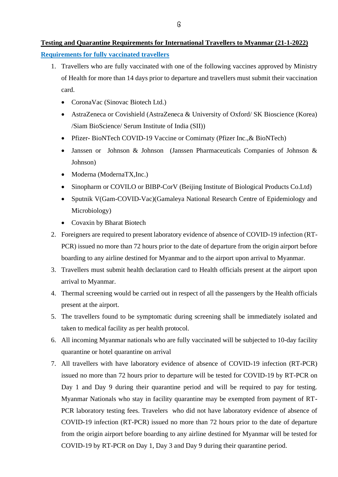- 1. Travellers who are fully vaccinated with one of the following vaccines approved by Ministry of Health for more than 14 days prior to departure and travellers must submit their vaccination card.
	- CoronaVac (Sinovac Biotech Ltd.)
	- AstraZeneca or Covishield (AstraZeneca & University of Oxford/ SK Bioscience (Korea) /Siam BioScience/ Serum Institute of India (SII))
	- Pfizer-BioNTech COVID-19 Vaccine or Comirnaty (Pfizer Inc., & BioNTech)
	- Janssen or Johnson & Johnson (Janssen Pharmaceuticals Companies of Johnson & Johnson)
	- Moderna (ModernaTX, Inc.)
	- Sinopharm or COVILO or BIBP-CorV (Beijing Institute of Biological Products Co.Ltd)
	- Sputnik V(Gam-COVID-Vac)(Gamaleya National Research Centre of Epidemiology and Microbiology)
	- Covaxin by Bharat Biotech
- 2. Foreigners are required to present laboratory evidence of absence of COVID-19 infection (RT-PCR) issued no more than 72 hours prior to the date of departure from the origin airport before boarding to any airline destined for Myanmar and to the airport upon arrival to Myanmar.
- 3. Travellers must submit health declaration card to Health officials present at the airport upon arrival to Myanmar.
- 4. Thermal screening would be carried out in respect of all the passengers by the Health officials present at the airport.
- 5. The travellers found to be symptomatic during screening shall be immediately isolated and taken to medical facility as per health protocol.
- 6. All incoming Myanmar nationals who are fully vaccinated will be subjected to 10-day facility quarantine or hotel quarantine on arrival
- 7. All travellers with have laboratory evidence of absence of COVID-19 infection (RT-PCR) issued no more than 72 hours prior to departure will be tested for COVID-19 by RT-PCR on Day 1 and Day 9 during their quarantine period and will be required to pay for testing. Myanmar Nationals who stay in facility quarantine may be exempted from payment of RT-PCR laboratory testing fees. Travelers who did not have laboratory evidence of absence of COVID-19 infection (RT-PCR) issued no more than 72 hours prior to the date of departure from the origin airport before boarding to any airline destined for Myanmar will be tested for COVID-19 by RT-PCR on Day 1, Day 3 and Day 9 during their quarantine period.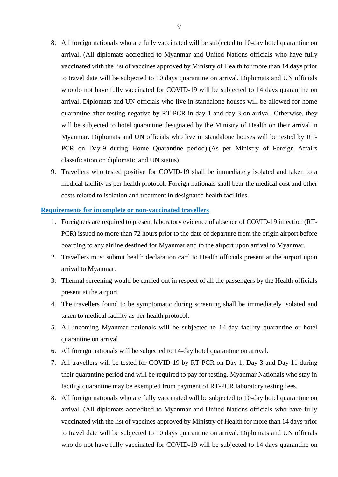- 8. All foreign nationals who are fully vaccinated will be subjected to 10-day hotel quarantine on arrival. (All diplomats accredited to Myanmar and United Nations officials who have fully vaccinated with the list of vaccines approved by Ministry of Health for more than 14 days prior to travel date will be subjected to 10 days quarantine on arrival. Diplomats and UN officials who do not have fully vaccinated for COVID-19 will be subjected to 14 days quarantine on arrival. Diplomats and UN officials who live in standalone houses will be allowed for home quarantine after testing negative by RT-PCR in day-1 and day-3 on arrival. Otherwise, they will be subjected to hotel quarantine designated by the Ministry of Health on their arrival in Myanmar. Diplomats and UN officials who live in standalone houses will be tested by RT-PCR on Day-9 during Home Quarantine period) (As per Ministry of Foreign Affairs classification on diplomatic and UN status)
- 9. Travellers who tested positive for COVID-19 shall be immediately isolated and taken to a medical facility as per health protocol. Foreign nationals shall bear the medical cost and other costs related to isolation and treatment in designated health facilities.

## **Requirements for incomplete or non-vaccinated travellers**

- 1. Foreigners are required to present laboratory evidence of absence of COVID-19 infection (RT-PCR) issued no more than 72 hours prior to the date of departure from the origin airport before boarding to any airline destined for Myanmar and to the airport upon arrival to Myanmar.
- 2. Travellers must submit health declaration card to Health officials present at the airport upon arrival to Myanmar.
- 3. Thermal screening would be carried out in respect of all the passengers by the Health officials present at the airport.
- 4. The travellers found to be symptomatic during screening shall be immediately isolated and taken to medical facility as per health protocol.
- 5. All incoming Myanmar nationals will be subjected to 14-day facility quarantine or hotel quarantine on arrival
- 6. All foreign nationals will be subjected to 14-day hotel quarantine on arrival.
- 7. All travellers will be tested for COVID-19 by RT-PCR on Day 1, Day 3 and Day 11 during their quarantine period and will be required to pay for testing. Myanmar Nationals who stay in facility quarantine may be exempted from payment of RT-PCR laboratory testing fees.
- 8. All foreign nationals who are fully vaccinated will be subjected to 10-day hotel quarantine on arrival. (All diplomats accredited to Myanmar and United Nations officials who have fully vaccinated with the list of vaccines approved by Ministry of Health for more than 14 days prior to travel date will be subjected to 10 days quarantine on arrival. Diplomats and UN officials who do not have fully vaccinated for COVID-19 will be subjected to 14 days quarantine on